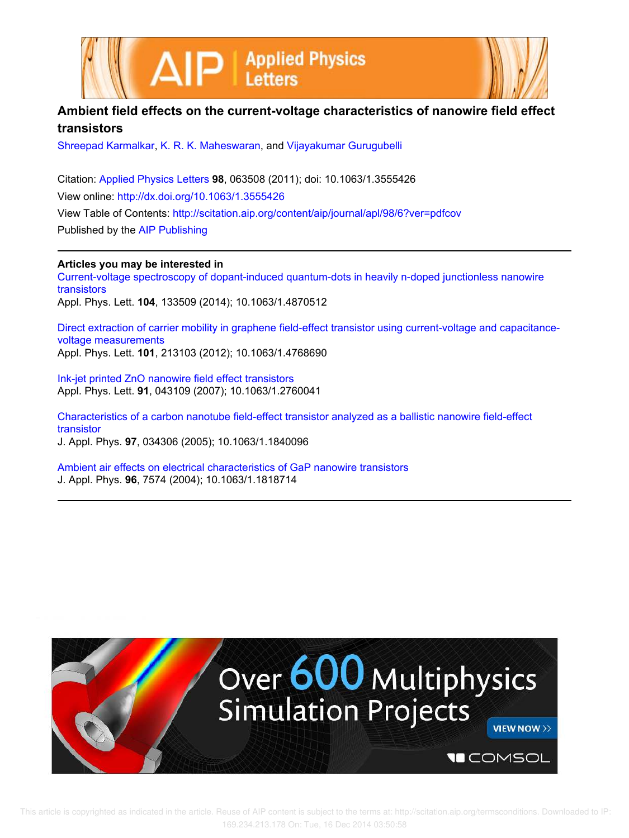



## **Ambient field effects on the current-voltage characteristics of nanowire field effect transistors**

Shreepad Karmalkar, K. R. K. Maheswaran, and Vijayakumar Gurugubelli

Citation: Applied Physics Letters **98**, 063508 (2011); doi: 10.1063/1.3555426 View online: http://dx.doi.org/10.1063/1.3555426 View Table of Contents: http://scitation.aip.org/content/aip/journal/apl/98/6?ver=pdfcov Published by the AIP Publishing

**Articles you may be interested in** Current-voltage spectroscopy of dopant-induced quantum-dots in heavily n-doped junctionless nanowire transistors Appl. Phys. Lett. **104**, 133509 (2014); 10.1063/1.4870512

Direct extraction of carrier mobility in graphene field-effect transistor using current-voltage and capacitancevoltage measurements Appl. Phys. Lett. **101**, 213103 (2012); 10.1063/1.4768690

Ink-jet printed ZnO nanowire field effect transistors Appl. Phys. Lett. **91**, 043109 (2007); 10.1063/1.2760041

Characteristics of a carbon nanotube field-effect transistor analyzed as a ballistic nanowire field-effect transistor

J. Appl. Phys. **97**, 034306 (2005); 10.1063/1.1840096

Ambient air effects on electrical characteristics of GaP nanowire transistors J. Appl. Phys. **96**, 7574 (2004); 10.1063/1.1818714

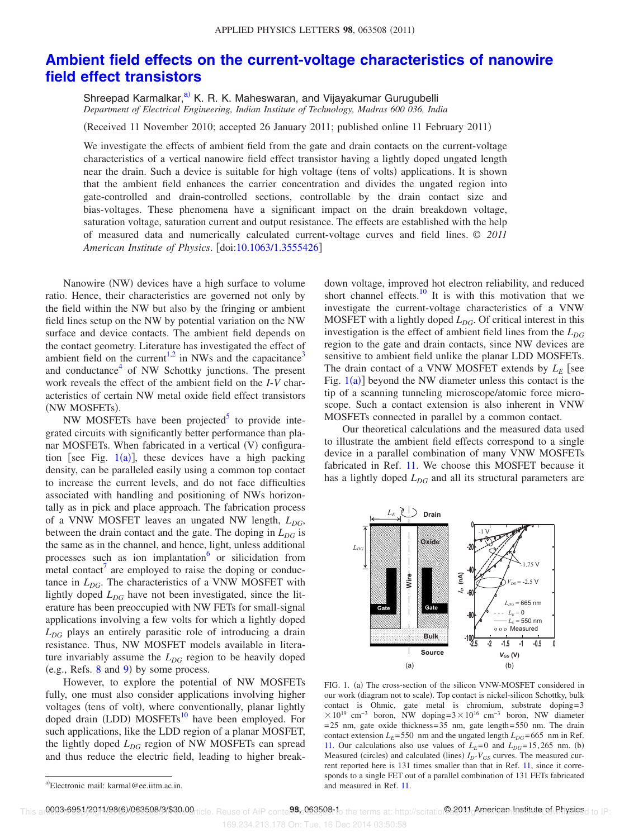## **Ambient field effects on the current-voltage characteristics of nanowire field effect transistors**

Shreepad Karmalkar,<sup>a)</sup> K. R. K. Maheswaran, and Vijayakumar Gurugubelli *Department of Electrical Engineering, Indian Institute of Technology, Madras 600 036, India*

(Received 11 November 2010; accepted 26 January 2011; published online 11 February 2011)

We investigate the effects of ambient field from the gate and drain contacts on the current-voltage characteristics of a vertical nanowire field effect transistor having a lightly doped ungated length near the drain. Such a device is suitable for high voltage (tens of volts) applications. It is shown that the ambient field enhances the carrier concentration and divides the ungated region into gate-controlled and drain-controlled sections, controllable by the drain contact size and bias-voltages. These phenomena have a significant impact on the drain breakdown voltage, saturation voltage, saturation current and output resistance. The effects are established with the help of measured data and numerically calculated current-voltage curves and field lines. © *2011 American Institute of Physics*. doi:10.1063/1.3555426

Nanowire (NW) devices have a high surface to volume ratio. Hence, their characteristics are governed not only by the field within the NW but also by the fringing or ambient field lines setup on the NW by potential variation on the NW surface and device contacts. The ambient field depends on the contact geometry. Literature has investigated the effect of ambient field on the current<sup>1,2</sup> in NWs and the capacitance<sup>3</sup> and conductance<sup>4</sup> of NW Schottky junctions. The present work reveals the effect of the ambient field on the *I*-*V* characteristics of certain NW metal oxide field effect transistors (NW MOSFETs).

NW MOSFETs have been projected<sup>5</sup> to provide integrated circuits with significantly better performance than planar MOSFETs. When fabricated in a vertical (V) configuration [see Fig.  $1(a)$ ], these devices have a high packing density, can be paralleled easily using a common top contact to increase the current levels, and do not face difficulties associated with handling and positioning of NWs horizontally as in pick and place approach. The fabrication process of a VNW MOSFET leaves an ungated NW length, *LDG*, between the drain contact and the gate. The doping in *LDG* is the same as in the channel, and hence, light, unless additional processes such as ion implantation or silicidation from  $\frac{1}{2}$  metal contact<sup>7</sup> are employed to raise the doping or conductance in *L<sub>DG</sub>*. The characteristics of a VNW MOSFET with lightly doped *LDG* have not been investigated, since the literature has been preoccupied with NW FETs for small-signal applications involving a few volts for which a lightly doped *LDG* plays an entirely parasitic role of introducing a drain resistance. Thus, NW MOSFET models available in literature invariably assume the *L<sub>DG</sub>* region to be heavily doped  $(e.g., Refs. 8 and 9)$  by some process.

However, to explore the potential of NW MOSFETs fully, one must also consider applications involving higher voltages (tens of volt), where conventionally, planar lightly doped drain (LDD) MOSFETs<sup>10</sup> have been employed. For such applications, like the LDD region of a planar MOSFET, the lightly doped *LDG* region of NW MOSFETs can spread and thus reduce the electric field, leading to higher break-

down voltage, improved hot electron reliability, and reduced short channel effects.<sup>10</sup> It is with this motivation that we investigate the current-voltage characteristics of a VNW MOSFET with a lightly doped *LDG*. Of critical interest in this investigation is the effect of ambient field lines from the  $L_{DG}$ region to the gate and drain contacts, since NW devices are sensitive to ambient field unlike the planar LDD MOSFETs. The drain contact of a VNW MOSFET extends by  $L_F$  see Fig.  $1(a)$ ] beyond the NW diameter unless this contact is the tip of a scanning tunneling microscope/atomic force microscope. Such a contact extension is also inherent in VNW MOSFETs connected in parallel by a common contact.

Our theoretical calculations and the measured data used to illustrate the ambient field effects correspond to a single device in a parallel combination of many VNW MOSFETs fabricated in Ref. 11. We choose this MOSFET because it has a lightly doped  $L_{DG}$  and all its structural parameters are



FIG. 1. (a) The cross-section of the silicon VNW-MOSFET considered in our work (diagram not to scale). Top contact is nickel-silicon Schottky, bulk contact is Ohmic, gate metal is chromium, substrate doping=3  $\times 10^{19}$  cm<sup>-3</sup> boron, NW doping=3 $\times 10^{16}$  cm<sup>-3</sup> boron, NW diameter =25 nm, gate oxide thickness=35 nm, gate length=550 nm. The drain contact extension  $L_E$ =550 nm and the ungated length  $L_{DG}$ =665 nm in Ref. 11. Our calculations also use values of  $L<sub>E</sub>=0$  and  $L<sub>DG</sub>=15,265$  nm. (b) Measured (circles) and calculated (lines)  $I_D$ - $V_{GS}$  curves. The measured current reported here is 131 times smaller than that in Ref. 11, since it corresponds to a single FET out of a parallel combination of 131 FETs fabricated and measured in Ref. 11.

a)Electronic mail: karmal@ee.iitm.ac.in.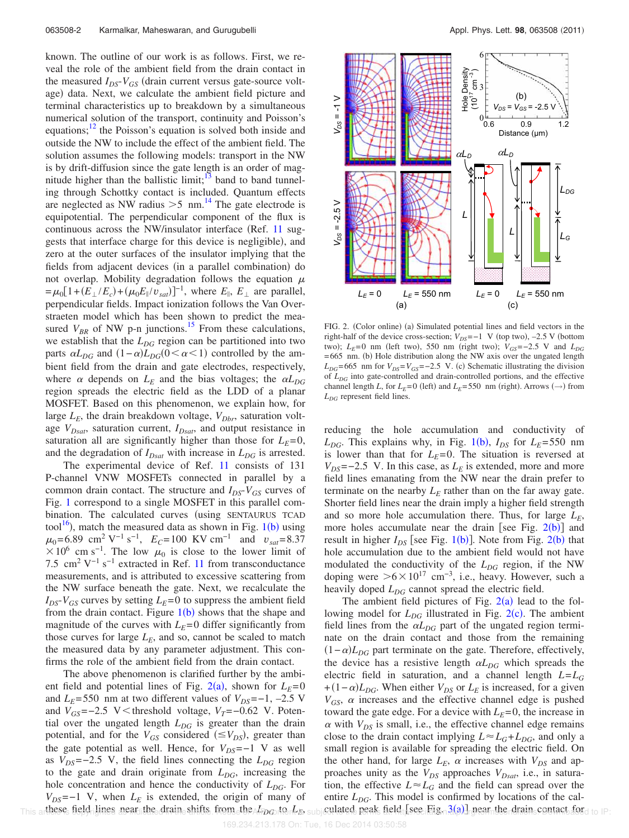known. The outline of our work is as follows. First, we reveal the role of the ambient field from the drain contact in the measured  $I_{DS}$ - $V_{GS}$  (drain current versus gate-source voltage) data. Next, we calculate the ambient field picture and terminal characteristics up to breakdown by a simultaneous numerical solution of the transport, continuity and Poisson's equations; $12$  the Poisson's equation is solved both inside and outside the NW to include the effect of the ambient field. The solution assumes the following models: transport in the NW is by drift-diffusion since the gate length is an order of magnitude higher than the ballistic limit; $13$  band to band tunneling through Schottky contact is included. Quantum effects are neglected as NW radius  $>5$  nm.<sup>14</sup> The gate electrode is equipotential. The perpendicular component of the flux is continuous across the NW/insulator interface (Ref. 11 suggests that interface charge for this device is negligible), and zero at the outer surfaces of the insulator implying that the fields from adjacent devices (in a parallel combination) do not overlap. Mobility degradation follows the equation  $\mu$  $= \mu_0 [1 + (E_{\perp}/E_c) + (\mu_0 E_{\parallel}/v_{sat})]^{-1}$ , where  $E_{\parallel}$ ,  $E_{\perp}$  are parallel, perpendicular fields. Impact ionization follows the Van Overstraeten model which has been shown to predict the measured  $V_{BR}$  of NW p-n junctions.<sup>15</sup> From these calculations, we establish that the *LDG* region can be partitioned into two parts  $\alpha L_{DG}$  and  $(1-\alpha)L_{DG}(0 < \alpha < 1)$  controlled by the ambient field from the drain and gate electrodes, respectively, where  $\alpha$  depends on  $L_E$  and the bias voltages; the  $\alpha L_{DG}$ region spreads the electric field as the LDD of a planar MOSFET. Based on this phenomenon, we explain how, for large  $L_E$ , the drain breakdown voltage,  $V_{Dbr}$ , saturation voltage *VDsat*, saturation current, *IDsat*, and output resistance in saturation all are significantly higher than those for  $L<sub>E</sub>=0$ , and the degradation of  $I_{Dsat}$  with increase in  $L_{DG}$  is arrested.

The experimental device of Ref. 11 consists of 131 P-channel VNW MOSFETs connected in parallel by a common drain contact. The structure and *IDS*-*VGS* curves of Fig. 1 correspond to a single MOSFET in this parallel combination. The calculated curves (using SENTAURUS TCAD tool<sup>16</sup>), match the measured data as shown in Fig.  $1(b)$  using  $\mu_0$ =6.89 cm<sup>2</sup> V<sup>-1</sup> s<sup>-1</sup>,  $E_C$ =100 KV cm<sup>-1</sup> and  $v_{sat}$ =8.37  $\times$  10<sup>6</sup> cm s<sup>-1</sup>. The low  $\mu_0$  is close to the lower limit of 7.5 cm<sup>2</sup> V<sup>-1</sup> s<sup>-1</sup> extracted in Ref. 11 from transconductance measurements, and is attributed to excessive scattering from the NW surface beneath the gate. Next, we recalculate the  $I_{DS}$ - $V_{GS}$  curves by setting  $L_E$ =0 to suppress the ambient field from the drain contact. Figure  $1(b)$  shows that the shape and magnitude of the curves with  $L<sub>E</sub>=0$  differ significantly from those curves for large  $L_E$ , and so, cannot be scaled to match the measured data by any parameter adjustment. This confirms the role of the ambient field from the drain contact.

The above phenomenon is clarified further by the ambient field and potential lines of Fig.  $2(a)$ , shown for  $L_E = 0$ and  $L_E$ =550 nm at two different values of  $V_{DS}$ =−1, −2.5 V and  $V_{GS}$ =−2.5 V < threshold voltage,  $V_T$ =−0.62 V. Potential over the ungated length  $L_{DG}$  is greater than the drain potential, and for the  $V_{GS}$  considered ( $\leq V_{DS}$ ), greater than the gate potential as well. Hence, for *VDS*=−1 V as well as  $V_{DS}$ =−2.5 V, the field lines connecting the  $L_{DG}$  region to the gate and drain originate from *LDG*, increasing the hole concentration and hence the conductivity of  $L_{DG}$ . For  $V_{DS}$ =−1 V, when  $L_E$  is extended, the origin of many of This artheses field lines near the drain shifts from the  $I_{DO}$  te  $L_{B}$  subjeculated peak field see Fig. 3(a) gear the drain contact for d to IP:



FIG. 2. (Color online) (a) Simulated potential lines and field vectors in the right-half of the device cross-section;  $V_{DS} = -1$  V (top two),  $-2.5$  V (bottom  $t_{\text{WO}}$ ;  $L_{E}$ =0 nm (left two), 550 nm (right two);  $V_{GS}$ =-2.5 V and  $L_{DG}$ =665 nm. (b) Hole distribution along the NW axis over the ungated length  $L_{DG}$ =665 nm for  $V_{DS}$ = $V_{GS}$ =−2.5 V. (c) Schematic illustrating the division of *LDG* into gate-controlled and drain-controlled portions, and the effective channel length *L*, for  $L_E$ =0 (left) and  $L_E$ =550 nm (right). Arrows ( $\rightarrow$ ) from *LDG* represent field lines.

reducing the hole accumulation and conductivity of  $L_{DG}$ . This explains why, in Fig. 1(b),  $I_{DS}$  for  $L_E$ =550 nm is lower than that for  $L<sub>E</sub>=0$ . The situation is reversed at  $V_{DS}$ =−2.5 V. In this case, as  $L_E$  is extended, more and more field lines emanating from the NW near the drain prefer to terminate on the nearby  $L<sub>E</sub>$  rather than on the far away gate. Shorter field lines near the drain imply a higher field strength and so more hole accumulation there. Thus, for large  $L<sub>E</sub>$ , more holes accumulate near the drain [see Fig.  $2(b)$ ] and result in higher  $I_{DS}$  [see Fig. 1(b)]. Note from Fig. 2(b) that hole accumulation due to the ambient field would not have modulated the conductivity of the  $L_{DG}$  region, if the NW doping were  $>6\times10^{17}$  cm<sup>-3</sup>, i.e., heavy. However, such a heavily doped  $L_{DG}$  cannot spread the electric field.

The ambient field pictures of Fig.  $2(a)$  lead to the following model for  $L_{DG}$  illustrated in Fig.  $2(c)$ . The ambient field lines from the  $\alpha L_{DG}$  part of the ungated region terminate on the drain contact and those from the remaining  $(1 - \alpha)L_{DG}$  part terminate on the gate. Therefore, effectively, the device has a resistive length  $\alpha L_{DG}$  which spreads the electric field in saturation, and a channel length *L*=*L<sup>G</sup>*  $+(1-\alpha)L_{DG}$ . When either  $V_{DS}$  or  $L_E$  is increased, for a given  $V_{GS}$ ,  $\alpha$  increases and the effective channel edge is pushed toward the gate edge. For a device with  $L<sub>E</sub>=0$ , the increase in  $\alpha$  with  $V_{DS}$  is small, i.e., the effective channel edge remains close to the drain contact implying  $L \approx L_G + L_{DG}$ , and only a small region is available for spreading the electric field. On the other hand, for large  $L_E$ ,  $\alpha$  increases with  $V_{DS}$  and approaches unity as the *VDS* approaches *VDsat*, i.e., in saturation, the effective  $L \approx L_G$  and the field can spread over the entire  $L_{DG}$ . This model is confirmed by locations of the calculated peak field [see Fig.  $3(a)$ ] near the drain contact for